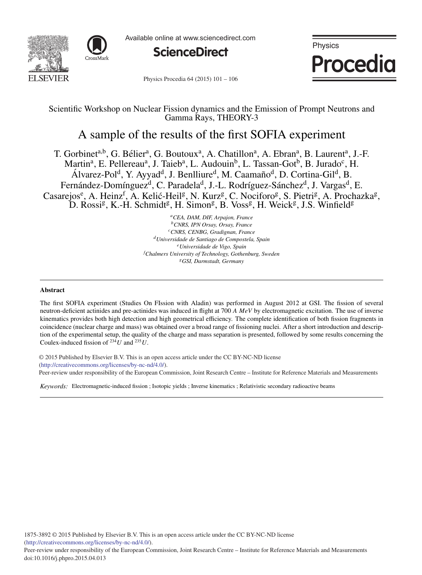



Available online at www.sciencedirect.com



Physics **Procedia** 

Physics Procedia 64 (2015) 101 - 106

## Scientific Workshop on Nuclear Fission dynamics and the Emission of Prompt Neutrons and Gamma Rays, THEORY-3

# A sample of the results of the first SOFIA experiment

T. Gorbinet<sup>a,b</sup>, G. Bélier<sup>a</sup>, G. Boutoux<sup>a</sup>, A. Chatillon<sup>a</sup>, A. Ebran<sup>a</sup>, B. Laurent<sup>a</sup>, J.-F. Martin<sup>a</sup>, E. Pellereau<sup>a</sup>, J. Taieb<sup>a</sup>, L. Audouin<sup>b</sup>, L. Tassan-Got<sup>b</sup>, B. Jurado<sup>c</sup>, H. Álvarez-Pol<sup>d</sup>, Y. Ayyad<sup>d</sup>, J. Benlliure<sup>d</sup>, M. Caamaño<sup>d</sup>, D. Cortina-Gil<sup>d</sup>, B. Fernández-Domínguez<sup>d</sup>, C. Paradela<sup>d</sup>, J.-L. Rodríguez-Sánchez<sup>d</sup>, J. Vargas<sup>d</sup>, E. Casarejos<sup>e</sup>, A. Heinz<sup>f</sup>, A. Kelić-Heil<sup>g</sup>, N. Kurz<sup>g</sup>, C. Nociforo<sup>g</sup>, S. Pietri<sup>g</sup>, A. Prochazka<sup>g</sup>, D. Rossi<sup>g</sup>, K.-H. Schmidt<sup>g</sup>, H. Simon<sup>g</sup>, B. Voss<sup>g</sup>, H. Weick<sup>g</sup>, J.S. Winfield<sup>g</sup>

> *aCEA, DAM, DIF, Arpajon, France bCNRS, IPN Orsay, Orsay, France cCNRS, CENBG, Gradignan, France dUniversidade de Santiago de Compostela, Spain eUniversidade de Vigo, Spain f Chalmers University of Technology, Gothenburg, Sweden gGSI, Darmstadt, Germany*

## Abstract

doi: 10.1016/j.phpro.2015.04.013

The first SOFIA experiment (Studies On FIssion with Aladin) was performed in August 2012 at GSI. The fission of several neutron-deficient actinides and pre-actinides was induced in flight at 700 *A MeV* by electromagnetic excitation. The use of inverse kinematics provides both high detection and high geometrical efficiency. The complete identification of both fission fragments in coincidence (nuclear charge and mass) was obtained over a broad range of fissioning nuclei. After a short introduction and description of the experimental setup, the quality of the charge and mass separation is presented, followed by some results concerning the Coulex-induced fission of  $^{234}U$  and  $^{235}U$ .

© 2015 Published by Elsevier B.V. This is an open access article under the CC BY-NC-ND license (http://creativecommons.org/licenses/by-nc-nd/4.0/). Peer-review under responsibility of the European Commission, Joint Research Centre – Institute for Reference Materials and Measurements

*Keywords:* Electromagnetic-induced fission ; Isotopic yields ; Inverse kinematics ; Relativistic secondary radioactive beams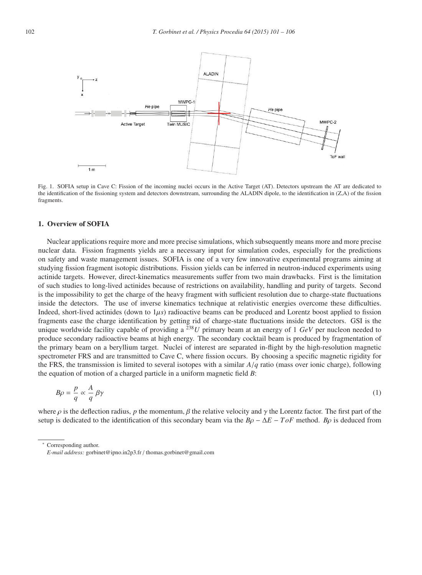

Fig. 1. SOFIA setup in Cave C: Fission of the incoming nuclei occurs in the Active Target (AT). Detectors upstream the AT are dedicated to the identification of the fissioning system and detectors downstream, surrounding the ALADIN dipole, to the identification in (Z,A) of the fission fragments.

## 1. Overview of SOFIA

Nuclear applications require more and more precise simulations, which subsequently means more and more precise nuclear data. Fission fragments yields are a necessary input for simulation codes, especially for the predictions on safety and waste management issues. SOFIA is one of a very few innovative experimental programs aiming at studying fission fragment isotopic distributions. Fission yields can be inferred in neutron-induced experiments using actinide targets. However, direct-kinematics measurements suffer from two main drawbacks. First is the limitation of such studies to long-lived actinides because of restrictions on availability, handling and purity of targets. Second is the impossibility to get the charge of the heavy fragment with sufficient resolution due to charge-state fluctuations inside the detectors. The use of inverse kinematics technique at relativistic energies overcome these difficulties. Indeed, short-lived actinides (down to  $1\mu s$ ) radioactive beams can be produced and Lorentz boost applied to fission fragments ease the charge identification by getting rid of charge-state fluctuations inside the detectors. GSI is the unique worldwide facility capable of providing a <sup>238</sup>*U* primary beam at an energy of 1 *GeV* per nucleon needed to produce secondary radioactive beams at high energy. The secondary cocktail beam is produced by fragmentation of the primary beam on a beryllium target. Nuclei of interest are separated in-flight by the high-resolution magnetic spectrometer FRS and are transmitted to Cave C, where fission occurs. By choosing a specific magnetic rigidity for the FRS, the transmission is limited to several isotopes with a similar *A*/*q* ratio (mass over ionic charge), following the equation of motion of a charged particle in a uniform magnetic field *B*:

$$
B\rho = \frac{p}{q} \propto \frac{A}{q} \beta \gamma \tag{1}
$$

where  $\rho$  is the deflection radius, *p* the momentum,  $\beta$  the relative velocity and  $\gamma$  the Lorentz factor. The first part of the setup is dedicated to the identification of this secondary beam via the  $B\rho - \Delta E - T \rho F$  method. *B* $\rho$  is deduced from

∗ Corresponding author.

*E-mail address:* gorbinet@ipno.in2p3.fr / thomas.gorbinet@gmail.com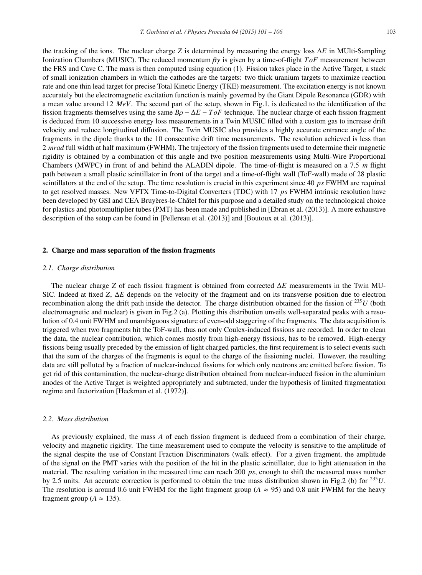the tracking of the ions. The nuclear charge *Z* is determined by measuring the energy loss Δ*E* in MUlti-Sampling Ionization Chambers (MUSIC). The reduced momentum  $\beta y$  is given by a time-of-flight  $ToF$  measurement between the FRS and Cave C. The mass is then computed using equation (1). Fission takes place in the Active Target, a stack of small ionization chambers in which the cathodes are the targets: two thick uranium targets to maximize reaction rate and one thin lead target for precise Total Kinetic Energy (TKE) measurement. The excitation energy is not known accurately but the electromagnetic excitation function is mainly governed by the Giant Dipole Resonance (GDR) with a mean value around 12 *MeV*. The second part of the setup, shown in Fig.1, is dedicated to the identification of the fission fragments themselves using the same  $B\rho - \Delta E - ToF$  technique. The nuclear charge of each fission fragment is deduced from 10 successive energy loss measurements in a Twin MUSIC filled with a custom gas to increase drift velocity and reduce longitudinal diffusion. The Twin MUSIC also provides a highly accurate entrance angle of the fragments in the dipole thanks to the 10 consecutive drift time measurements. The resolution achieved is less than 2 *mrad* full width at half maximum (FWHM). The trajectory of the fission fragments used to determine their magnetic rigidity is obtained by a combination of this angle and two position measurements using Multi-Wire Proportional Chambers (MWPC) in front of and behind the ALADIN dipole. The time-of-flight is measured on a 7.5 *m* flight path between a small plastic scintillator in front of the target and a time-of-flight wall (ToF-wall) made of 28 plastic scintillators at the end of the setup. The time resolution is crucial in this experiment since 40 *ps* FWHM are required to get resolved masses. New VFTX Time-to-Digital Converters (TDC) with 17 *ps* FWHM intrinsic resolution have been developed by GSI and CEA Bruyeres-le-Chatel for this purpose and a detailed study on the technological choice for plastics and photomultiplier tubes (PMT) has been made and published in [Ebran et al. (2013)]. A more exhaustive description of the setup can be found in [Pellereau et al. (2013)] and [Boutoux et al. (2013)].

## 2. Charge and mass separation of the fission fragments

#### *2.1. Charge distribution*

The nuclear charge *Z* of each fission fragment is obtained from corrected Δ*E* measurements in the Twin MU-SIC. Indeed at fixed *Z*, Δ*E* depends on the velocity of the fragment and on its transverse position due to electron recombination along the drift path inside the detector. The charge distribution obtained for the fission of <sup>235</sup>*U* (both electromagnetic and nuclear) is given in Fig.2 (a). Plotting this distribution unveils well-separated peaks with a resolution of 0.4 unit FWHM and unambiguous signature of even-odd staggering of the fragments. The data acquisition is triggered when two fragments hit the ToF-wall, thus not only Coulex-induced fissions are recorded. In order to clean the data, the nuclear contribution, which comes mostly from high-energy fissions, has to be removed. High-energy fissions being usually preceded by the emission of light charged particles, the first requirement is to select events such that the sum of the charges of the fragments is equal to the charge of the fissioning nuclei. However, the resulting data are still polluted by a fraction of nuclear-induced fissions for which only neutrons are emitted before fission. To get rid of this contamination, the nuclear-charge distribution obtained from nuclear-induced fission in the aluminium anodes of the Active Target is weighted appropriately and subtracted, under the hypothesis of limited fragmentation regime and factorization [Heckman et al. (1972)].

## *2.2. Mass distribution*

As previously explained, the mass *A* of each fission fragment is deduced from a combination of their charge, velocity and magnetic rigidity. The time measurement used to compute the velocity is sensitive to the amplitude of the signal despite the use of Constant Fraction Discriminators (walk effect). For a given fragment, the amplitude of the signal on the PMT varies with the position of the hit in the plastic scintillator, due to light attenuation in the material. The resulting variation in the measured time can reach 200 *ps*, enough to shift the measured mass number by 2.5 units. An accurate correction is performed to obtain the true mass distribution shown in Fig.2 (b) for <sup>235</sup>*U*. The resolution is around 0.6 unit FWHM for the light fragment group ( $A \approx 95$ ) and 0.8 unit FWHM for the heavy fragment group ( $A \approx 135$ ).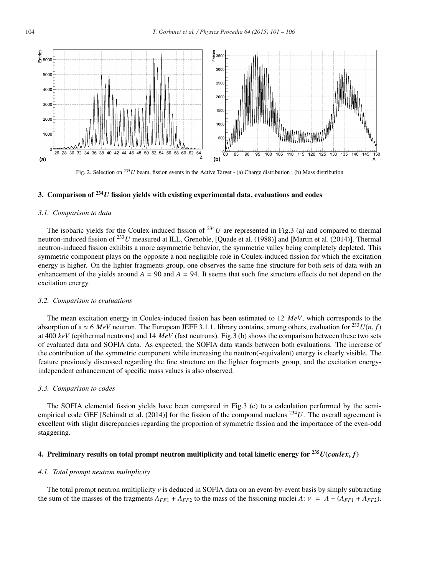

Fig. 2. Selection on <sup>235</sup>*U* beam, fission events in the Active Target - (a) Charge distribution; (b) Mass distribution

## 3. Comparison of <sup>234</sup>*U* fission yields with existing experimental data, evaluations and codes

## *3.1. Comparison to data*

The isobaric yields for the Coulex-induced fission of  $^{234}U$  are represented in Fig.3 (a) and compared to thermal neutron-induced fission of <sup>233</sup>*U* measured at ILL, Grenoble, [Quade et al. (1988)] and [Martin et al. (2014)]. Thermal neutron-induced fission exhibits a more asymmetric behavior, the symmetric valley being completely depleted. This symmetric component plays on the opposite a non negligible role in Coulex-induced fission for which the excitation energy is higher. On the lighter fragments group, one observes the same fine structure for both sets of data with an enhancement of the yields around  $A = 90$  and  $A = 94$ . It seems that such fine structure effects do not depend on the excitation energy.

## *3.2. Comparison to evaluations*

The mean excitation energy in Coulex-induced fission has been estimated to 12 *MeV*, which corresponds to the absorption of a  $\approx 6$  *MeV* neutron. The European JEFF 3.1.1. library contains, among others, evaluation for <sup>233</sup>*U*(*n*, *f*) at 400 *keV* (epithermal neutrons) and 14 *MeV* (fast neutrons). Fig.3 (b) shows the comparison between these two sets of evaluated data and SOFIA data. As expected, the SOFIA data stands between both evaluations. The increase of the contribution of the symmetric component while increasing the neutron(-equivalent) energy is clearly visible. The feature previously discussed regarding the fine structure on the lighter fragments group, and the excitation energyindependent enhancement of specific mass values is also observed.

#### *3.3. Comparison to codes*

The SOFIA elemental fission yields have been compared in Fig.3 (c) to a calculation performed by the semiempirical code GEF [Schimdt et al. (2014)] for the fission of the compound nucleus  $^{234}U$ . The overall agreement is excellent with slight discrepancies regarding the proportion of symmetric fission and the importance of the even-odd staggering.

## 4. Preliminary results on total prompt neutron multiplicity and total kinetic energy for <sup>235</sup>*U*(*coulex*, *f*)

#### *4.1. Total prompt neutron multiplicity*

The total prompt neutron multiplicity  $v$  is deduced in SOFIA data on an event-by-event basis by simply subtracting the sum of the masses of the fragments  $A_{FF1} + A_{FF2}$  to the mass of the fissioning nuclei *A*:  $v = A - (A_{FF1} + A_{FF2})$ .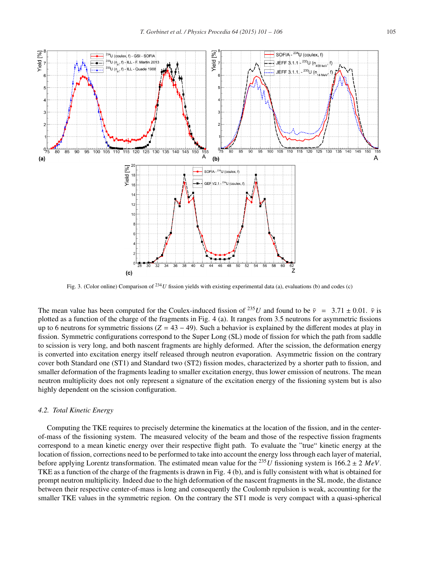

Fig. 3. (Color online) Comparison of <sup>234</sup>U fission yields with existing experimental data (a), evaluations (b) and codes (c)

The mean value has been computed for the Coulex-induced fission of <sup>235</sup>U and found to be  $\bar{v} = 3.71 \pm 0.01$ .  $\bar{v}$  is plotted as a function of the charge of the fragments in Fig. 4 (a). It ranges from 3.5 neutrons for asymmetric fissions up to 6 neutrons for symmetric fissions  $(Z = 43 - 49)$ . Such a behavior is explained by the different modes at play in fission. Symmetric configurations correspond to the Super Long (SL) mode of fission for which the path from saddle to scission is very long, and both nascent fragments are highly deformed. After the scission, the deformation energy is converted into excitation energy itself released through neutron evaporation. Asymmetric fission on the contrary cover both Standard one (ST1) and Standard two (ST2) fission modes, characterized by a shorter path to fission, and smaller deformation of the fragments leading to smaller excitation energy, thus lower emission of neutrons. The mean neutron multiplicity does not only represent a signature of the excitation energy of the fissioning system but is also highly dependent on the scission configuration.

## *4.2. Total Kinetic Energy*

Computing the TKE requires to precisely determine the kinematics at the location of the fission, and in the centerof-mass of the fissioning system. The measured velocity of the beam and those of the respective fission fragments correspond to a mean kinetic energy over their respective flight path. To evaluate the "true" kinetic energy at the location of fission, corrections need to be performed to take into account the energy loss through each layer of material, before applying Lorentz transformation. The estimated mean value for the <sup>235</sup>*U* fissioning system is  $166.2 \pm 2$  *MeV*. TKE as a function of the charge of the fragments is drawn in Fig. 4 (b), and is fully consistent with what is obtained for prompt neutron multiplicity. Indeed due to the high deformation of the nascent fragments in the SL mode, the distance between their respective center-of-mass is long and consequently the Coulomb repulsion is weak, accounting for the smaller TKE values in the symmetric region. On the contrary the ST1 mode is very compact with a quasi-spherical